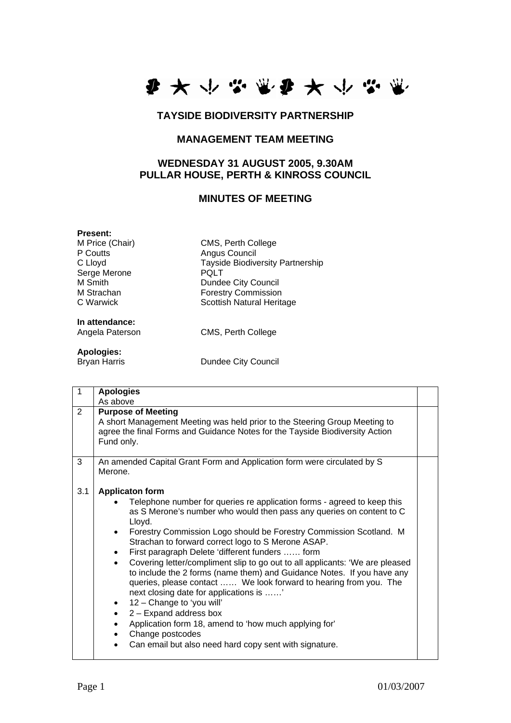

### **TAYSIDE BIODIVERSITY PARTNERSHIP**

## **MANAGEMENT TEAM MEETING**

### **WEDNESDAY 31 AUGUST 2005, 9.30AM PULLAR HOUSE, PERTH & KINROSS COUNCIL**

#### **MINUTES OF MEETING**

Tayside Biodiversity Partnership<br>POLT

**Present:**<br>**M Price (Chair)** P Coutts<br>
C Lloyd<br>
C Lloyd<br>
Tayside Biodive Serge Merone M Smith Dundee City Council<br>
M Strachan 
Borestry Commission M Strachan Forestry Commission<br>C Warwick **Forest Scottish Natural Herita** 

**In attendance:** 

Angela Paterson CMS, Perth College

Scottish Natural Heritage

CMS, Perth College

# **Apologies:**

**Dundee City Council** 

|     | <b>Apologies</b>                                                                                                                                                                                                                                                                                                                                                                                                                                                                                                                                                                                                                                                                                                                                                                                                                                                                       |  |
|-----|----------------------------------------------------------------------------------------------------------------------------------------------------------------------------------------------------------------------------------------------------------------------------------------------------------------------------------------------------------------------------------------------------------------------------------------------------------------------------------------------------------------------------------------------------------------------------------------------------------------------------------------------------------------------------------------------------------------------------------------------------------------------------------------------------------------------------------------------------------------------------------------|--|
|     | As above                                                                                                                                                                                                                                                                                                                                                                                                                                                                                                                                                                                                                                                                                                                                                                                                                                                                               |  |
| 2   | <b>Purpose of Meeting</b><br>A short Management Meeting was held prior to the Steering Group Meeting to<br>agree the final Forms and Guidance Notes for the Tayside Biodiversity Action<br>Fund only.                                                                                                                                                                                                                                                                                                                                                                                                                                                                                                                                                                                                                                                                                  |  |
| 3   | An amended Capital Grant Form and Application form were circulated by S<br>Merone.                                                                                                                                                                                                                                                                                                                                                                                                                                                                                                                                                                                                                                                                                                                                                                                                     |  |
| 3.1 | <b>Applicaton form</b>                                                                                                                                                                                                                                                                                                                                                                                                                                                                                                                                                                                                                                                                                                                                                                                                                                                                 |  |
|     | Telephone number for queries re application forms - agreed to keep this<br>as S Merone's number who would then pass any queries on content to C<br>Lloyd.<br>Forestry Commission Logo should be Forestry Commission Scotland. M<br>$\bullet$<br>Strachan to forward correct logo to S Merone ASAP.<br>First paragraph Delete 'different funders  form<br>$\bullet$<br>Covering letter/compliment slip to go out to all applicants: 'We are pleased<br>to include the 2 forms (name them) and Guidance Notes. If you have any<br>queries, please contact  We look forward to hearing from you. The<br>next closing date for applications is '<br>12 - Change to 'you will'<br>٠<br>2 - Expand address box<br>$\bullet$<br>Application form 18, amend to 'how much applying for'<br>$\bullet$<br>Change postcodes<br>$\bullet$<br>Can email but also need hard copy sent with signature. |  |